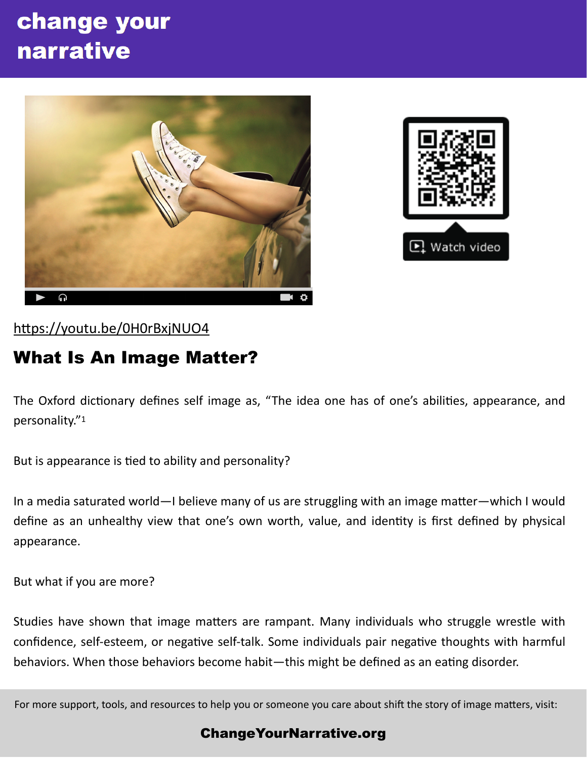# change your narrative





### https://youtu.be/0H0rBxjNUO4

## What Is An Image Matter?

The Oxford dictionary defines self image as, "The idea one has of one's abilities, appearance, and personality."1

But is appearance is tied to ability and personality?

In a media saturated world—I believe many of us are struggling with an image matter—which I would define as an unhealthy view that one's own worth, value, and identity is first defined by physical appearance.

But what if you are more?

Studies have shown that image matters are rampant. Many individuals who struggle wrestle with confidence, self-esteem, or negative self-talk. Some individuals pair negative thoughts with harmful behaviors. When those behaviors become habit—this might be defined as an eating disorder.

For more support, tools, and resources to help you or someone you care about shift the story of image matters, visit:

#### [ChangeYourNarrative.org](http://ChangeYourNarrative.org)